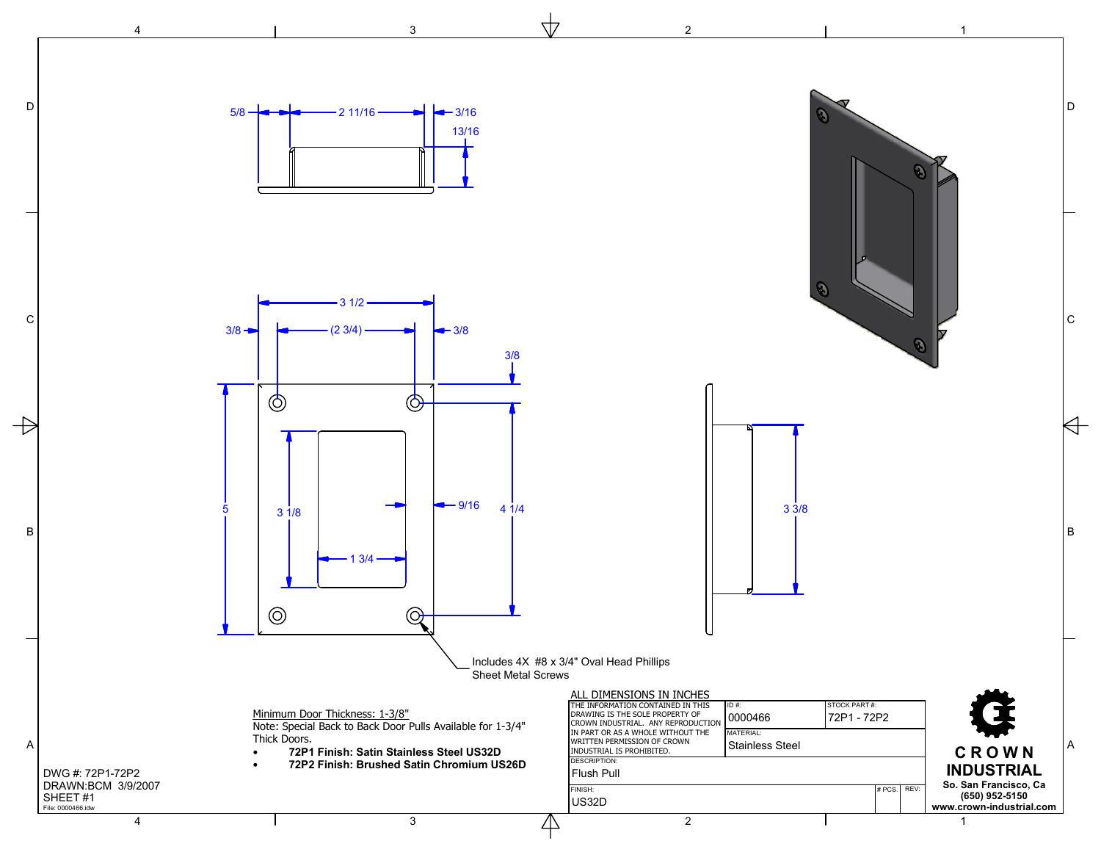